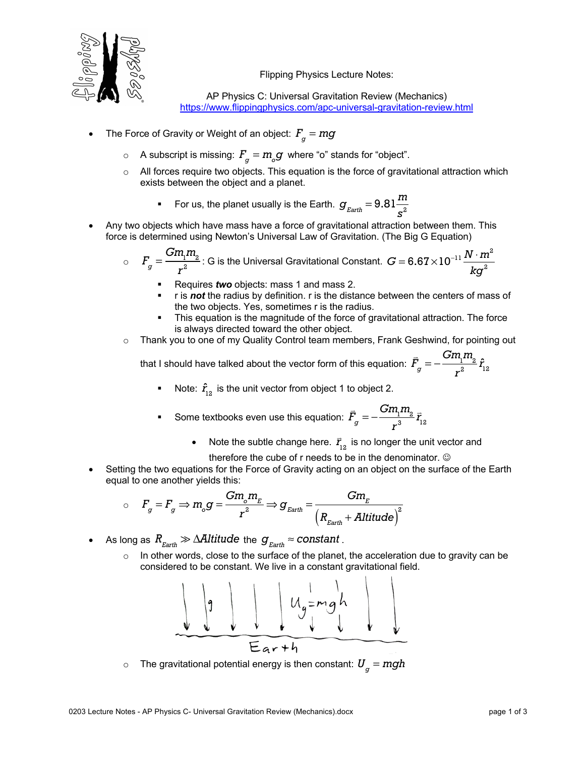

Flipping Physics Lecture Notes:

AP Physics C: Universal Gravitation Review (Mechanics) https://www.flippingphysics.com/apc-universal-gravitation-review.html

- The Force of Gravity or Weight of an object:  $F_{\stackrel{\ }{g}}=mg$ 
	- $\circ$  A subscript is missing:  $F_{\stackrel{\ }{g}}=m_{_{\stackrel{\ }{g}}}g$  where "o" stands for "object".
	- o All forces require two objects. This equation is the force of gravitational attraction which exists between the object and a planet.
		- **•** For us, the planet usually is the Earth.  $g_{\text{Earth}} = 9.81 \frac{m}{s^2}$
- Any two objects which have mass have a force of gravitational attraction between them. This force is determined using Newton's Universal Law of Gravitation. (The Big G Equation)

$$
\circ \quad F_g = \frac{Gm_1m_2}{r^2}
$$
: G is the Universal Gravitational Constant.  $G = 6.67 \times 10^{-11} \frac{N \cdot m^2}{kg^2}$ 

- § Requires *two* objects: mass 1 and mass 2.
- § r is *not* the radius by definition. r is the distance between the centers of mass of the two objects. Yes, sometimes r is the radius.
- This equation is the magnitude of the force of gravitational attraction. The force is always directed toward the other object.
- o Thank you to one of my Quality Control team members, Frank Geshwind, for pointing out

that I should have talked about the vector form of this equation: |<br>|- $F_{\stackrel{\scriptstyle g}{}}$  =  $Gm\llcorner m_2$  $\frac{r_1r_2}{r^2}\hat{r}_{12}$ 

- Note:  $\hat{r}_{12}$  is the unit vector from object 1 to object 2.
- Some textbooks even use this equation: |<br>|- $\bar{F}_{g}^{} = Gm_1m_2$ *r* 3  $\vec{r}_{12}$ 
	- Note the subtle change here.  $\vec{r}_{12}$  is no longer the unit vector and

therefore the cube of  $r$  needs to be in the denominator.  $\odot$ 

Setting the two equations for the Force of Gravity acting on an object on the surface of the Earth equal to one another yields this:

$$
\circ \quad F_g = F_g \Rightarrow m_o g = \frac{Gm_o m_E}{r^2} \Rightarrow g_{Earth} = \frac{Gm_E}{(R_{Earth} + Altitude)^2}
$$

- $\bullet$  As long as  $R_{_{Earth}} \gg \Delta$ Al $t$ i $t$ ude the  $g_{_{Earth}}$   $\approx$   $constant$  .
	- $\circ$  In other words, close to the surface of the planet, the acceleration due to gravity can be considered to be constant. We live in a constant gravitational field.



 $\circ$  The gravitational potential energy is then constant:  $\boldsymbol{U}_g = m g h$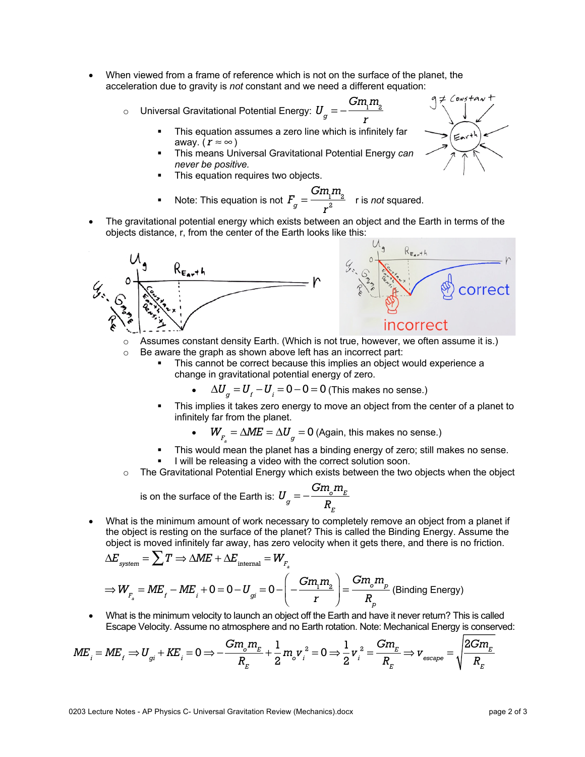- When viewed from a frame of reference which is not on the surface of the planet, the acceleration due to gravity is *not* constant and we need a different equation:
	- $\circ$  0Universal Gravitational Potential Energy:  $\boldsymbol{U}_g = −$ 
		- This equation assumes a zero line which is infinitely far away. (*r ≈* ∞ ) *r*

 $Gm\llcorner m_2$ 

- § This means Universal Gravitational Potential Energy *can never be positive.*
- This equation requires two objects.
- Note: This equation is not  $F_g = \frac{Gm_1m_2}{r^2}$  r is *not* squared. *r* 2
- The gravitational potential energy which exists between an object and the Earth in terms of the objects distance, r, from the center of the Earth looks like this:



- o Assumes constant density Earth. (Which is not true, however, we often assume it is.)
- o Be aware the graph as shown above left has an incorrect part:
	- This cannot be correct because this implies an object would experience a change in gravitational potential energy of zero.
		- $\Delta U_g = U_f U_i = 0 0 = 0$  (This makes no sense.)
	- This implies it takes zero energy to move an object from the center of a planet to infinitely far from the planet.

•  $W_{F_a} = \Delta M E = \Delta U_g = 0$  (Again, this makes no sense.)

- This would mean the planet has a binding energy of zero; still makes no sense.
- I will be releasing a video with the correct solution soon.
- $\circ$  The Gravitational Potential Energy which exists between the two objects when the object

is on the surface of the Earth is: 
$$
U_g = -\frac{Gm_g m_E}{R_E}
$$

What is the minimum amount of work necessary to completely remove an object from a planet if the object is resting on the surface of the planet? This is called the Binding Energy. Assume the object is moved infinitely far away, has zero velocity when it gets there, and there is no friction.

$$
\Delta E_{\text{system}} = \sum T \Rightarrow \Delta M E + \Delta E_{\text{internal}} = W_{F_a}
$$
  
\n
$$
\Rightarrow W_{F_a} = M E_f - M E_i + 0 = 0 - U_{gi} = 0 - \left( -\frac{G m_i m_a}{r} \right) = \frac{G m_o m_p}{R_p}
$$
 (Binding Energy)

• What is the minimum velocity to launch an object off the Earth and have it never return? This is called Escape Velocity. Assume no atmosphere and no Earth rotation. Note: Mechanical Energy is conserved:

$$
ME_{i} = ME_{f} \Rightarrow U_{gi} + KE_{i} = 0 \Rightarrow -\frac{Gm_{o}m_{E}}{R_{E}} + \frac{1}{2}m_{o}v_{i}^{2} = 0 \Rightarrow \frac{1}{2}v_{i}^{2} = \frac{Gm_{E}}{R_{E}} \Rightarrow v_{\text{escape}} = \sqrt{\frac{2Gm_{E}}{R_{E}}}
$$